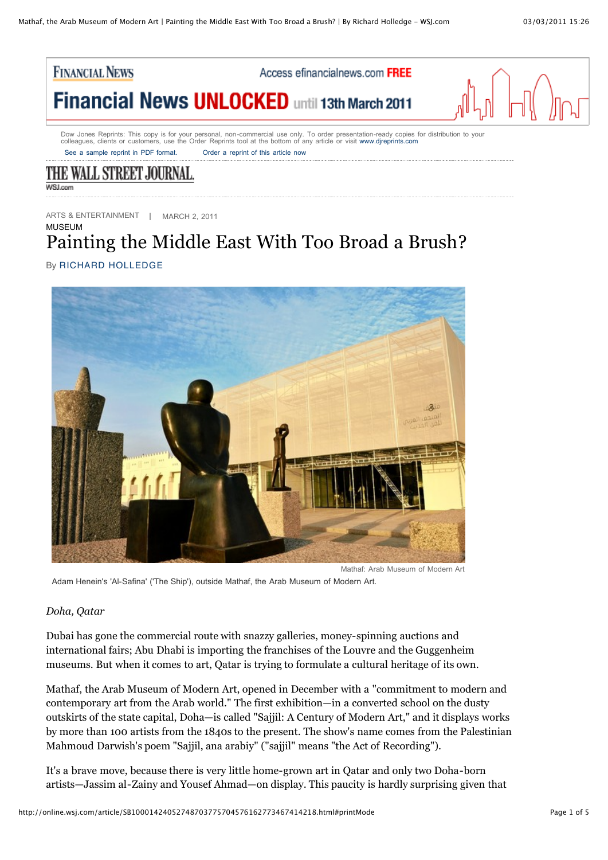

[See a sample reprint in PDF format.](http://online.wsj.com/public/resources/documents/Reprint_Samples.pdf) [Order a reprint of this article now](javascript:CopyrightPopUp();) Dow Jones Reprints: This copy is for your personal, non-commercial use only. To order presentation-ready copies for distribution to your<br>colleagues, clients or customers, use the Order Reprints tool at the bottom of any ar

## THE WALL STREET JOURNAL

WSJ.com

ARTS & ENTERTAINMENT | MARCH 2, 2011

## MUSEUM Painting the Middle East With Too Broad a Brush? By [RICHARD HOLLEDGE](http://online.wsj.com/search/term.html?KEYWORDS=RICHARD+HOLLEDGE&bylinesearch=true)



Mathaf: Arab Museum of Modern Art

Adam Henein's 'Al-Safina' ('The Ship'), outside Mathaf, the Arab Museum of Modern Art.

## *Doha, Qatar*

Dubai has gone the commercial route with snazzy galleries, money-spinning auctions and international fairs; Abu Dhabi is importing the franchises of the Louvre and the Guggenheim museums. But when it comes to art, Qatar is trying to formulate a cultural heritage of its own.

Mathaf, the Arab Museum of Modern Art, opened in December with a "commitment to modern and contemporary art from the Arab world." The first exhibition—in a converted school on the dusty outskirts of the state capital, Doha—is called "Sajjil: A Century of Modern Art," and it displays works by more than 100 artists from the 1840s to the present. The show's name comes from the Palestinian Mahmoud Darwish's poem "Sajjil, ana arabiy" ("sajjil" means "the Act of Recording").

It's a brave move, because there is very little home-grown art in Qatar and only two Doha-born artists—Jassim al-Zainy and Yousef Ahmad—on display. This paucity is hardly surprising given that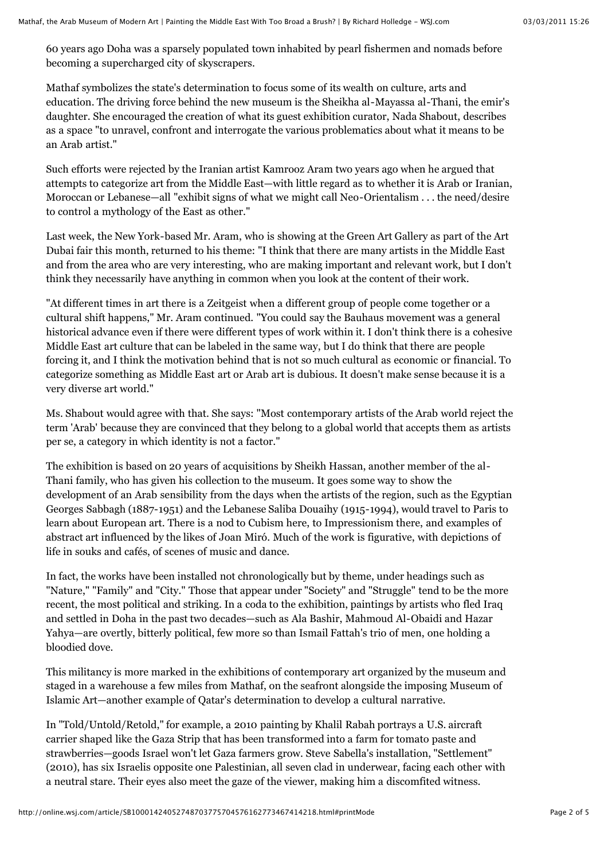60 years ago Doha was a sparsely populated town inhabited by pearl fishermen and nomads before becoming a supercharged city of skyscrapers.

Mathaf symbolizes the state's determination to focus some of its wealth on culture, arts and education. The driving force behind the new museum is the Sheikha al-Mayassa al-Thani, the emir's daughter. She encouraged the creation of what its guest exhibition curator, Nada Shabout, describes as a space "to unravel, confront and interrogate the various problematics about what it means to be an Arab artist."

Such efforts were rejected by the Iranian artist Kamrooz Aram two years ago when he argued that attempts to categorize art from the Middle East—with little regard as to whether it is Arab or Iranian, Moroccan or Lebanese—all "exhibit signs of what we might call Neo-Orientalism . . . the need/desire to control a mythology of the East as other."

Last week, the New York-based Mr. Aram, who is showing at the Green Art Gallery as part of the Art Dubai fair this month, returned to his theme: "I think that there are many artists in the Middle East and from the area who are very interesting, who are making important and relevant work, but I don't think they necessarily have anything in common when you look at the content of their work.

"At different times in art there is a Zeitgeist when a different group of people come together or a cultural shift happens," Mr. Aram continued. "You could say the Bauhaus movement was a general historical advance even if there were different types of work within it. I don't think there is a cohesive Middle East art culture that can be labeled in the same way, but I do think that there are people forcing it, and I think the motivation behind that is not so much cultural as economic or financial. To categorize something as Middle East art or Arab art is dubious. It doesn't make sense because it is a very diverse art world."

Ms. Shabout would agree with that. She says: "Most contemporary artists of the Arab world reject the term 'Arab' because they are convinced that they belong to a global world that accepts them as artists per se, a category in which identity is not a factor."

The exhibition is based on 20 years of acquisitions by Sheikh Hassan, another member of the al-Thani family, who has given his collection to the museum. It goes some way to show the development of an Arab sensibility from the days when the artists of the region, such as the Egyptian Georges Sabbagh (1887-1951) and the Lebanese Saliba Douaihy (1915-1994), would travel to Paris to learn about European art. There is a nod to Cubism here, to Impressionism there, and examples of abstract art influenced by the likes of Joan Miró. Much of the work is figurative, with depictions of life in souks and cafés, of scenes of music and dance.

In fact, the works have been installed not chronologically but by theme, under headings such as "Nature," "Family" and "City." Those that appear under "Society" and "Struggle" tend to be the more recent, the most political and striking. In a coda to the exhibition, paintings by artists who fled Iraq and settled in Doha in the past two decades—such as Ala Bashir, Mahmoud Al-Obaidi and Hazar Yahya—are overtly, bitterly political, few more so than Ismail Fattah's trio of men, one holding a bloodied dove.

This militancy is more marked in the exhibitions of contemporary art organized by the museum and staged in a warehouse a few miles from Mathaf, on the seafront alongside the imposing Museum of Islamic Art—another example of Qatar's determination to develop a cultural narrative.

In "Told/Untold/Retold," for example, a 2010 painting by Khalil Rabah portrays a U.S. aircraft carrier shaped like the Gaza Strip that has been transformed into a farm for tomato paste and strawberries—goods Israel won't let Gaza farmers grow. Steve Sabella's installation, "Settlement" (2010), has six Israelis opposite one Palestinian, all seven clad in underwear, facing each other with a neutral stare. Their eyes also meet the gaze of the viewer, making him a discomfited witness.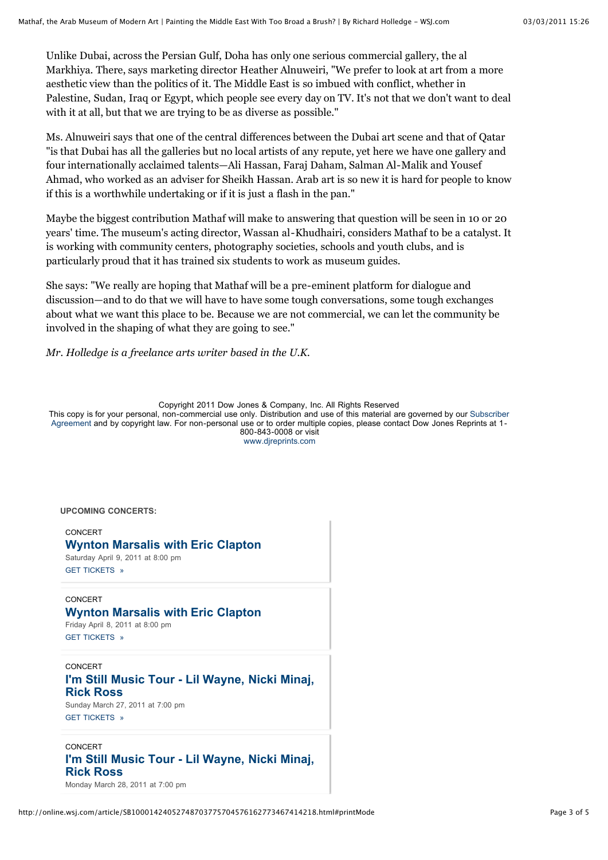Unlike Dubai, across the Persian Gulf, Doha has only one serious commercial gallery, the al Markhiya. There, says marketing director Heather Alnuweiri, "We prefer to look at art from a more aesthetic view than the politics of it. The Middle East is so imbued with conflict, whether in Palestine, Sudan, Iraq or Egypt, which people see every day on TV. It's not that we don't want to deal with it at all, but that we are trying to be as diverse as possible."

Ms. Alnuweiri says that one of the central differences between the Dubai art scene and that of Qatar "is that Dubai has all the galleries but no local artists of any repute, yet here we have one gallery and four internationally acclaimed talents—Ali Hassan, Faraj Daham, Salman Al-Malik and Yousef Ahmad, who worked as an adviser for Sheikh Hassan. Arab art is so new it is hard for people to know if this is a worthwhile undertaking or if it is just a flash in the pan."

Maybe the biggest contribution Mathaf will make to answering that question will be seen in 10 or 20 years' time. The museum's acting director, Wassan al-Khudhairi, considers Mathaf to be a catalyst. It is working with community centers, photography societies, schools and youth clubs, and is particularly proud that it has trained six students to work as museum guides.

She says: "We really are hoping that Mathaf will be a pre-eminent platform for dialogue and discussion—and to do that we will have to have some tough conversations, some tough exchanges about what we want this place to be. Because we are not commercial, we can let the community be involved in the shaping of what they are going to see."

*Mr. Holledge is a freelance arts writer based in the U.K.*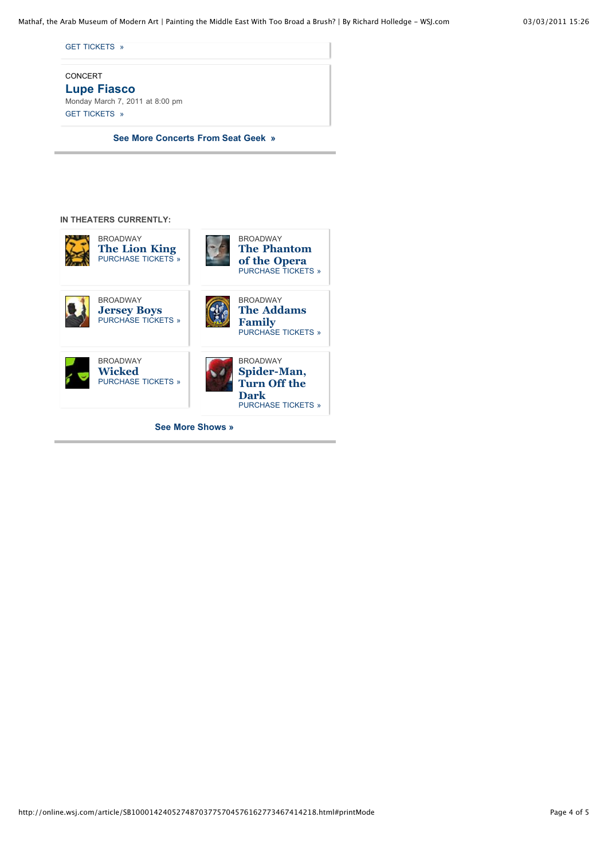